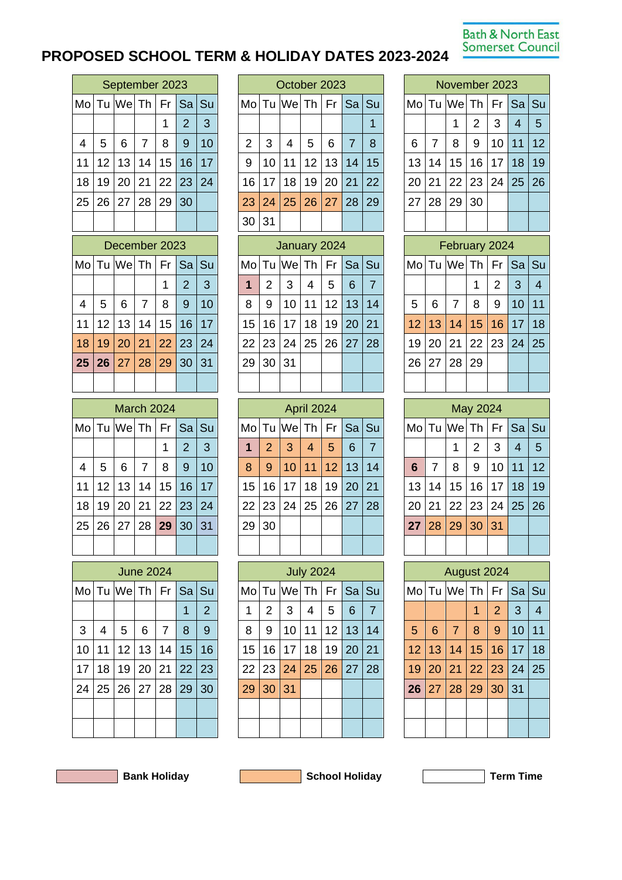## **Bath & North East** Somerset Council

## **PROPOSED SCHOOL TERM & HOLIDAY DATES 2023-2024**

| September 2023 |    |                      |                |         |                |    |  |  |  |  |  |  |
|----------------|----|----------------------|----------------|---------|----------------|----|--|--|--|--|--|--|
|                |    | Mo Tu We Th Fr Sa Su |                |         |                |    |  |  |  |  |  |  |
|                |    |                      |                | 1       | $\overline{2}$ | 3  |  |  |  |  |  |  |
| $\overline{4}$ | 5  | 6                    | $\overline{7}$ | 8       | 9              | 10 |  |  |  |  |  |  |
| 11             |    | 12 13 14 15 16       |                |         |                | 17 |  |  |  |  |  |  |
| 18             | 19 | $20 \mid 21$         |                | $22$ 23 |                | 24 |  |  |  |  |  |  |
| 25             |    | 26 27 28 29          |                |         | 30             |    |  |  |  |  |  |  |
|                |    |                      |                |         |                |    |  |  |  |  |  |  |

| December 2023  |   |                      |             |   |                |    |  |  |  |  |
|----------------|---|----------------------|-------------|---|----------------|----|--|--|--|--|
|                |   | MoTu WeTh Fr Sa Su   |             |   |                |    |  |  |  |  |
|                |   |                      |             | 1 | $\overline{2}$ | 3  |  |  |  |  |
| $\overline{4}$ | 5 | 6                    | $7^{\circ}$ | 8 | 9              | 10 |  |  |  |  |
| 11             |   | 12 13 14 15 16 17    |             |   |                |    |  |  |  |  |
| 18             |   | 19 20 21 22 23 24    |             |   |                |    |  |  |  |  |
|                |   | 25 26 27 28 29 30 31 |             |   |                |    |  |  |  |  |
|                |   |                      |             |   |                |    |  |  |  |  |

|                |   |                      | March 2024     |   |                |    |
|----------------|---|----------------------|----------------|---|----------------|----|
|                |   | Mo Tu We Th Fr Sa Su |                |   |                |    |
|                |   |                      |                | 1 | $\overline{2}$ | 3  |
| $\overline{4}$ | 5 | 6                    | $\overline{7}$ | 8 | 9              | 10 |
| 11             |   | 12 13 14 15 16 17    |                |   |                |    |
| 18             |   | 19 20 21 22 23 24    |                |   |                |    |
|                |   | 25 26 27 28 29 30 31 |                |   |                |    |
|                |   |                      |                |   |                |    |

|    |    |                             | June 2024 |                |            |                |
|----|----|-----------------------------|-----------|----------------|------------|----------------|
|    |    | Mo Tu We Th Fr Sa Su        |           |                |            |                |
|    |    |                             |           |                |            | $\overline{2}$ |
| 3  | 4  | 5                           | 6         | $\overline{7}$ | 8          | 9              |
| 10 | 11 |                             | $12$   13 |                | $14$ 15 16 |                |
| 17 | 18 |                             | 19 20 21  |                | $22$ 23    |                |
| 24 |    | 25   26   27   28   29   30 |           |                |            |                |
|    |    |                             |           |                |            |                |
|    |    |                             |           |                |            |                |

|    |    | September 2023 |    |    |                      |    |               | October 2023 |                            |    |    |    |    |  | November 2023 |    |             |    |    |          |    |
|----|----|----------------|----|----|----------------------|----|---------------|--------------|----------------------------|----|----|----|----|--|---------------|----|-------------|----|----|----------|----|
|    |    |                |    |    | Mo Tu We Th Fr Sa Su |    |               |              | Mo Tu We Th   Fr   Sa   Su |    |    |    |    |  |               |    | Mo Tu We Th |    |    | Fr Sa Su |    |
|    |    |                |    | 1  | $\overline{2}$       | 3  |               |              |                            |    |    |    |    |  |               |    | и           | 2  | 3  | 4        | -5 |
| 4  | 5  | 6              | 7  | 8  | 9                    | 10 | $\mathcal{P}$ | 3            | 4                          | 5  | 6  | 7  | 8  |  | 6             |    | 8           | 9  | 10 | 11       | 12 |
| 11 | 12 | 13             | 14 | 15 | 16                   | 17 | 9             | 10           | 11                         | 12 | 13 | 14 | 15 |  | 13            | 14 | 15          | 16 | 17 | 18       | 19 |
| 18 | 19 | 20             | 21 |    | 22 23                | 24 | 16            | 17           | 18                         | 19 | 20 | 21 | 22 |  | 20            | 21 | 22          | 23 | 24 | 25       | 26 |
| 25 | 26 | 27             | 28 | 29 | 30                   |    | 23            | 24           | 25                         | 26 | 27 | 28 | 29 |  | 27            | 28 | 29          | 30 |    |          |    |
|    |    |                |    |    |                      |    | 30            | 31           |                            |    |    |    |    |  |               |    |             |    |    |          |    |

|                |                 |                 | December 2023 |                  |                      |    | January 2024 |                 |                      |    |       |    |    | February 2024 |    |                 |                      |    |    |    |                |
|----------------|-----------------|-----------------|---------------|------------------|----------------------|----|--------------|-----------------|----------------------|----|-------|----|----|---------------|----|-----------------|----------------------|----|----|----|----------------|
|                |                 |                 |               |                  | Mo Tu We Th Fr Sa Su |    |              |                 | Mo Tu We Th Fr Sa Su |    |       |    |    |               |    |                 | Mo Tu We Th Fr Sa Su |    |    |    |                |
|                |                 |                 |               | 1                | 2                    | 3  |              | 2               | 3                    | 4  | 5     | 6  | 7  |               |    |                 |                      |    | 2  | 3  | $\overline{4}$ |
| $\overline{4}$ | 5               | 6               | 7             | 8                | 9                    | 10 | 8            | 9               | 10                   | 11 | 12 13 |    | 14 |               | 5  | 6               | 7                    | 8  | 9  | 10 | 11             |
| 11             | 12 <sup>2</sup> | 13 <sup>1</sup> | 14            | 15 <sub>15</sub> | 16                   | 17 | 15           | 16 <sup>1</sup> | 17                   | 18 | 19    | 20 | 21 |               | 12 | 13              | 14                   | 15 | 16 | 17 | 18             |
| 18             | 19              | 20              | 21            | 22 23            |                      | 24 | 22           | 23              | 24                   | 25 | 26 27 |    | 28 |               | 19 | 20 <sup>1</sup> | 21                   | 22 | 23 | 24 | 25             |
| 25             | 26              | 27              | 28            | 29               | 30                   | 31 | 29           | 30              | 31                   |    |       |    |    |               | 26 | 27              | 28                   | 29 |    |    |                |
|                |                 |                 |               |                  |                      |    |              |                 |                      |    |       |    |    |               |    |                 |                      |    |    |    |                |

|    |                 | <b>March 2024</b> |             |    |                      |    | April 2024       |               |                      |                 |                |           | May 2024 |                 |                 |                      |                 |       |                |      |
|----|-----------------|-------------------|-------------|----|----------------------|----|------------------|---------------|----------------------|-----------------|----------------|-----------|----------|-----------------|-----------------|----------------------|-----------------|-------|----------------|------|
|    |                 |                   |             |    | Mo Tu We Th Fr Sa Su |    |                  |               | Mo Tu We Th Fr Sa Su |                 |                |           |          |                 |                 | Mo Tu We Th Fr Sa Su |                 |       |                |      |
|    |                 |                   |             | 1  | $\overline{2}$       | 3  |                  | $\mathcal{P}$ | 3                    | $\overline{4}$  | 5              | 6         | 7        |                 |                 | 4                    | 2               | 3     | $\overline{A}$ | -5   |
| 4  | 5               | 6                 | 7           | 8  | 9                    | 10 | 8                | 9             | 10 <sup>1</sup>      |                 | $11$   12   13 |           | 14       | $6\phantom{1}6$ | 7               | 8                    | 9               | 10    | 11             | 12   |
| 11 | 12 <sup>1</sup> | 13                | 14          | 15 | 16 <sup>1</sup>      | 17 | 15 <sup>15</sup> | 16            | 17                   | 18 <sup>1</sup> | 19             | <b>20</b> | 21       | 13              | 14 <sup>1</sup> | 15                   | 16 <sup>1</sup> | 17    | 18             | 19   |
| 18 | 19 <sup>°</sup> | 20 21             |             |    | 22 23                | 24 |                  | 22 23         | 24                   |                 | 25 26 27       |           | 28       | 20              | 21              | 22                   | 23              | 24 25 |                | l 26 |
| 25 | 26              |                   | 27 28 29 30 |    |                      | 31 | 29               | 30            |                      |                 |                |           |          | 27              | 28              | 29                   | 30              | 31    |                |      |
|    |                 |                   |             |    |                      |    |                  |               |                      |                 |                |           |          |                 |                 |                      |                 |       |                |      |

|    |    |                 | <b>June 2024</b> |                |                      |                | <b>July 2024</b> |                 |                  |    |                 |              | August 2024 |    |                 |             |    |    |       |                |
|----|----|-----------------|------------------|----------------|----------------------|----------------|------------------|-----------------|------------------|----|-----------------|--------------|-------------|----|-----------------|-------------|----|----|-------|----------------|
|    |    |                 |                  |                | Mo Tu We Th Fr Sa Su |                |                  |                 | MolTu WelTh   Fr |    |                 | <b>Sa Su</b> |             |    |                 | Mo Tu We Th |    | Fr | Sa Su |                |
|    |    |                 |                  |                |                      | $\overline{2}$ | 1                | 2               | 3                | 4  | 5               | 6            | 7           |    |                 |             |    | 2  | 3     | $\overline{4}$ |
| 3  | 4  | 5               | 6                | $\overline{7}$ | 8                    | 9              | 8                | 9               | 10               | 11 | 12 <sup>°</sup> | 13           | 14          | 5  | 6               | 7           | 8  | 9  | 10    | 11             |
| 10 | 11 | 12 <sub>1</sub> | 13               | 14             | 15                   | 16             | 15               | 16 <sup>1</sup> | 17               | 18 | 19              | 20           | 21          | 12 | 13 <sup>°</sup> | 14          | 15 | 16 | 17    | 18             |
| 17 | 18 | 19              | 20               | 21             | 22                   | 23             | 22               | 23              | 24               | 25 | 26              | 27           | 28          | 19 | 20              | 21          | 22 |    | 23 24 | 25             |
| 24 | 25 | 26              | 27               | 28             | 29                   | 30             | 29               | 30              | 31               |    |                 |              |             | 26 | 27              | 28          | 29 | 30 | 31    |                |
|    |    |                 |                  |                |                      |                |                  |                 |                  |    |                 |              |             |    |                 |             |    |    |       |                |
|    |    |                 |                  |                |                      |                |                  |                 |                  |    |                 |              |             |    |                 |             |    |    |       |                |

|                 |                | November 2023  |          |                |                |                         |
|-----------------|----------------|----------------|----------|----------------|----------------|-------------------------|
| Mo              | Tu             | We             | Th       | Fr             | Sa             | Su                      |
|                 |                | 1              | 2        | 3              | $\overline{4}$ | 5                       |
| 6               | $\overline{7}$ | 8              | 9        | 10             | 11             | 12                      |
| 13              | 14             | 15             | 16       | 17             | 18             | 19                      |
| 20              | 21             | 22             | 23       | 24             | 25             | 26                      |
| 27              | 28             | 29             | 30       |                |                |                         |
|                 |                |                |          |                |                |                         |
|                 |                | February 2024  |          |                |                |                         |
| Mo              | Tu             | We             | Тh       | Fr             | Sa             | Su                      |
|                 |                |                | 1        | 2              | 3              | $\overline{\mathbf{4}}$ |
| 5               | 6              | $\overline{7}$ | 8        | 9              | 10             | 11                      |
| 12              | 13             | 14             | 15       | 16             | 17             | 18                      |
| 19              | 20             | 21             | 22       | 23             | 24             | 25                      |
| 26              | 27             | 28             | 29       |                |                |                         |
|                 |                |                |          |                |                |                         |
|                 |                |                | May 2024 |                |                |                         |
| Mo              | Tu             | We             | Th       | Fr             | Sa             | Su                      |
|                 |                | 1              | 2        | 3              | $\overline{4}$ | 5                       |
| $6\phantom{1}6$ | $\overline{7}$ | 8              | 9        | 10             | 11             | 12                      |
| 13              | 14             | 15             | 16       | 17             | 18             | 19                      |
| 20              | 21             | 22             | 23       | 24             | 25             | 26                      |
| 27              | 28             | 29             | 30       | 31             |                |                         |
|                 |                |                |          |                |                |                         |
|                 |                | August 2024    |          |                |                |                         |
| Mo              | Tu             | We             | Τh       | Fr             | Sa             | Su                      |
|                 |                |                | 1        | $\overline{2}$ | 3              | 4                       |
| 5               | 6              | $\overline{7}$ | 8        | 9              | 10             | 11                      |
|                 |                |                |          | 16             |                |                         |